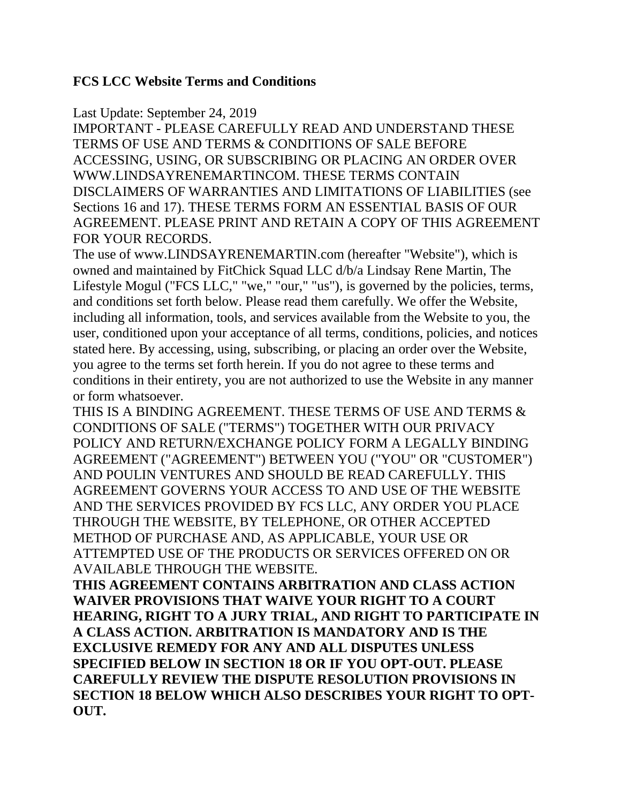### **FCS LCC Website Terms and Conditions**

#### Last Update: September 24, 2019

IMPORTANT - PLEASE CAREFULLY READ AND UNDERSTAND THESE TERMS OF USE AND TERMS & CONDITIONS OF SALE BEFORE ACCESSING, USING, OR SUBSCRIBING OR PLACING AN ORDER OVER WWW.LINDSAYRENEMARTINCOM. THESE TERMS CONTAIN DISCLAIMERS OF WARRANTIES AND LIMITATIONS OF LIABILITIES (see Sections 16 and 17). THESE TERMS FORM AN ESSENTIAL BASIS OF OUR AGREEMENT. PLEASE PRINT AND RETAIN A COPY OF THIS AGREEMENT FOR YOUR RECORDS.

The use of www.LINDSAYRENEMARTIN.com (hereafter "Website"), which is owned and maintained by FitChick Squad LLC d/b/a Lindsay Rene Martin, The Lifestyle Mogul ("FCS LLC," "we," "our," "us"), is governed by the policies, terms, and conditions set forth below. Please read them carefully. We offer the Website, including all information, tools, and services available from the Website to you, the user, conditioned upon your acceptance of all terms, conditions, policies, and notices stated here. By accessing, using, subscribing, or placing an order over the Website, you agree to the terms set forth herein. If you do not agree to these terms and conditions in their entirety, you are not authorized to use the Website in any manner or form whatsoever.

THIS IS A BINDING AGREEMENT. THESE TERMS OF USE AND TERMS & CONDITIONS OF SALE ("TERMS") TOGETHER WITH OUR PRIVACY POLICY AND RETURN/EXCHANGE POLICY FORM A LEGALLY BINDING AGREEMENT ("AGREEMENT") BETWEEN YOU ("YOU" OR "CUSTOMER") AND POULIN VENTURES AND SHOULD BE READ CAREFULLY. THIS AGREEMENT GOVERNS YOUR ACCESS TO AND USE OF THE WEBSITE AND THE SERVICES PROVIDED BY FCS LLC, ANY ORDER YOU PLACE THROUGH THE WEBSITE, BY TELEPHONE, OR OTHER ACCEPTED METHOD OF PURCHASE AND, AS APPLICABLE, YOUR USE OR ATTEMPTED USE OF THE PRODUCTS OR SERVICES OFFERED ON OR AVAILABLE THROUGH THE WEBSITE.

**THIS AGREEMENT CONTAINS ARBITRATION AND CLASS ACTION WAIVER PROVISIONS THAT WAIVE YOUR RIGHT TO A COURT HEARING, RIGHT TO A JURY TRIAL, AND RIGHT TO PARTICIPATE IN A CLASS ACTION. ARBITRATION IS MANDATORY AND IS THE EXCLUSIVE REMEDY FOR ANY AND ALL DISPUTES UNLESS SPECIFIED BELOW IN SECTION 18 OR IF YOU OPT-OUT. PLEASE CAREFULLY REVIEW THE DISPUTE RESOLUTION PROVISIONS IN SECTION 18 BELOW WHICH ALSO DESCRIBES YOUR RIGHT TO OPT-OUT.**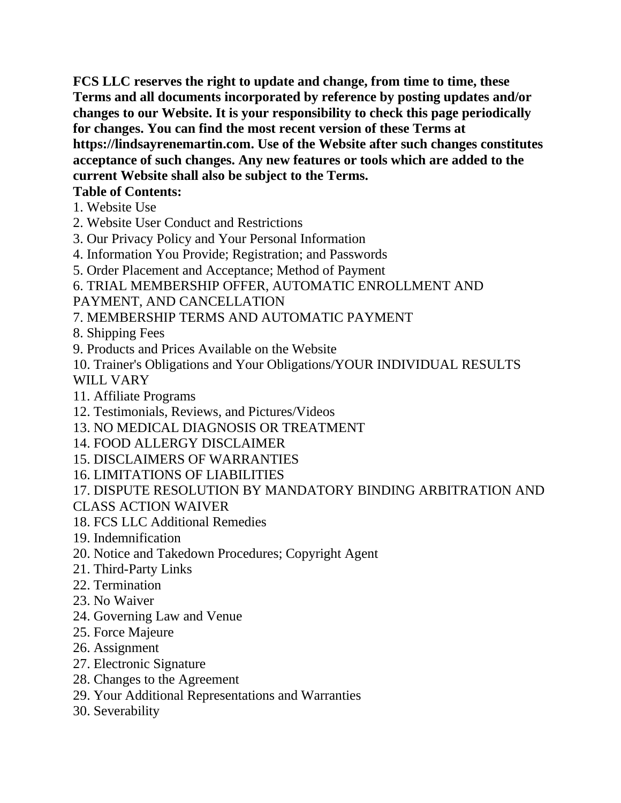**FCS LLC reserves the right to update and change, from time to time, these Terms and all documents incorporated by reference by posting updates and/or changes to our Website. It is your responsibility to check this page periodically for changes. You can find the most recent version of these Terms at https://lindsayrenemartin.com. Use of the Website after such changes constitutes acceptance of such changes. Any new features or tools which are added to the current Website shall also be subject to the Terms.** 

### **Table of Contents:**

- 1. Website Use
- 2. Website User Conduct and Restrictions
- 3. Our Privacy Policy and Your Personal Information
- 4. Information You Provide; Registration; and Passwords
- 5. Order Placement and Acceptance; Method of Payment
- 6. TRIAL MEMBERSHIP OFFER, AUTOMATIC ENROLLMENT AND
- PAYMENT, AND CANCELLATION
- 7. MEMBERSHIP TERMS AND AUTOMATIC PAYMENT
- 8. Shipping Fees
- 9. Products and Prices Available on the Website
- 10. Trainer's Obligations and Your Obligations/YOUR INDIVIDUAL RESULTS

# WILL VARY

- 11. Affiliate Programs
- 12. Testimonials, Reviews, and Pictures/Videos
- 13. NO MEDICAL DIAGNOSIS OR TREATMENT
- 14. FOOD ALLERGY DISCLAIMER
- 15. DISCLAIMERS OF WARRANTIES
- 16. LIMITATIONS OF LIABILITIES
- 17. DISPUTE RESOLUTION BY MANDATORY BINDING ARBITRATION AND
- CLASS ACTION WAIVER
- 18. FCS LLC Additional Remedies
- 19. Indemnification
- 20. Notice and Takedown Procedures; Copyright Agent
- 21. Third-Party Links
- 22. Termination
- 23. No Waiver
- 24. Governing Law and Venue
- 25. Force Majeure
- 26. Assignment
- 27. Electronic Signature
- 28. Changes to the Agreement
- 29. Your Additional Representations and Warranties
- 30. Severability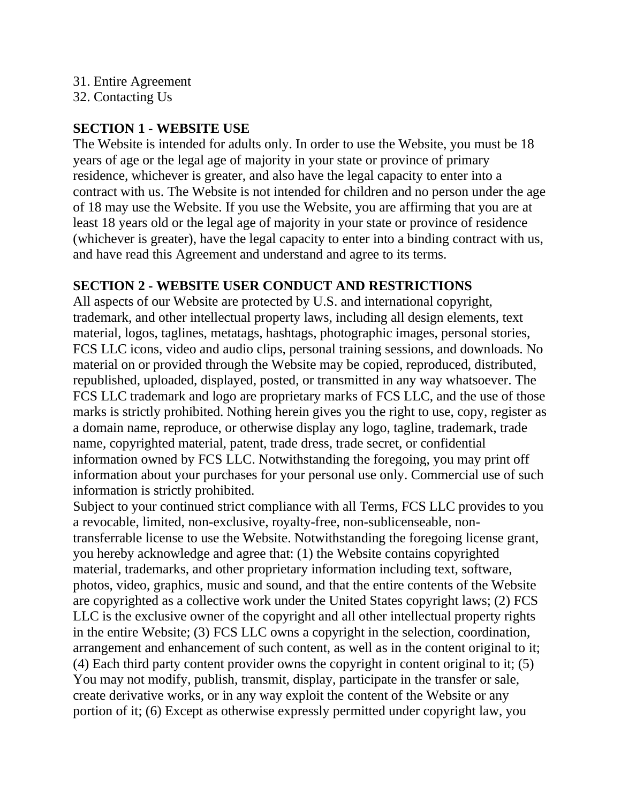#### 31. Entire Agreement

32. Contacting Us

### **SECTION 1 - WEBSITE USE**

The Website is intended for adults only. In order to use the Website, you must be 18 years of age or the legal age of majority in your state or province of primary residence, whichever is greater, and also have the legal capacity to enter into a contract with us. The Website is not intended for children and no person under the age of 18 may use the Website. If you use the Website, you are affirming that you are at least 18 years old or the legal age of majority in your state or province of residence (whichever is greater), have the legal capacity to enter into a binding contract with us, and have read this Agreement and understand and agree to its terms.

# **SECTION 2 - WEBSITE USER CONDUCT AND RESTRICTIONS**

All aspects of our Website are protected by U.S. and international copyright, trademark, and other intellectual property laws, including all design elements, text material, logos, taglines, metatags, hashtags, photographic images, personal stories, FCS LLC icons, video and audio clips, personal training sessions, and downloads. No material on or provided through the Website may be copied, reproduced, distributed, republished, uploaded, displayed, posted, or transmitted in any way whatsoever. The FCS LLC trademark and logo are proprietary marks of FCS LLC, and the use of those marks is strictly prohibited. Nothing herein gives you the right to use, copy, register as a domain name, reproduce, or otherwise display any logo, tagline, trademark, trade name, copyrighted material, patent, trade dress, trade secret, or confidential information owned by FCS LLC. Notwithstanding the foregoing, you may print off information about your purchases for your personal use only. Commercial use of such information is strictly prohibited.

Subject to your continued strict compliance with all Terms, FCS LLC provides to you a revocable, limited, non-exclusive, royalty-free, non-sublicenseable, nontransferrable license to use the Website. Notwithstanding the foregoing license grant, you hereby acknowledge and agree that: (1) the Website contains copyrighted material, trademarks, and other proprietary information including text, software, photos, video, graphics, music and sound, and that the entire contents of the Website are copyrighted as a collective work under the United States copyright laws; (2) FCS LLC is the exclusive owner of the copyright and all other intellectual property rights in the entire Website; (3) FCS LLC owns a copyright in the selection, coordination, arrangement and enhancement of such content, as well as in the content original to it; (4) Each third party content provider owns the copyright in content original to it; (5) You may not modify, publish, transmit, display, participate in the transfer or sale, create derivative works, or in any way exploit the content of the Website or any portion of it; (6) Except as otherwise expressly permitted under copyright law, you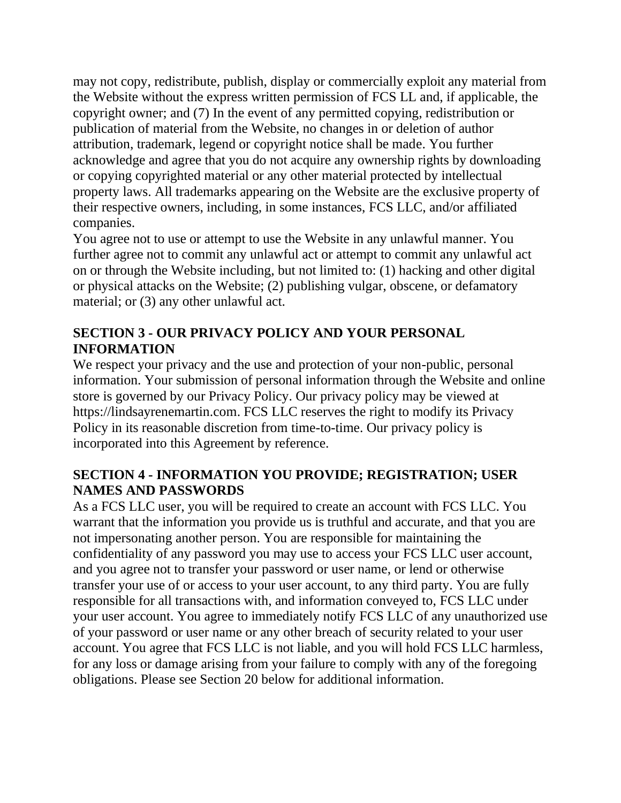may not copy, redistribute, publish, display or commercially exploit any material from the Website without the express written permission of FCS LL and, if applicable, the copyright owner; and (7) In the event of any permitted copying, redistribution or publication of material from the Website, no changes in or deletion of author attribution, trademark, legend or copyright notice shall be made. You further acknowledge and agree that you do not acquire any ownership rights by downloading or copying copyrighted material or any other material protected by intellectual property laws. All trademarks appearing on the Website are the exclusive property of their respective owners, including, in some instances, FCS LLC, and/or affiliated companies.

You agree not to use or attempt to use the Website in any unlawful manner. You further agree not to commit any unlawful act or attempt to commit any unlawful act on or through the Website including, but not limited to: (1) hacking and other digital or physical attacks on the Website; (2) publishing vulgar, obscene, or defamatory material; or (3) any other unlawful act.

# **SECTION 3 - OUR PRIVACY POLICY AND YOUR PERSONAL INFORMATION**

We respect your privacy and the use and protection of your non-public, personal information. Your submission of personal information through the Website and online store is governed by our Privacy Policy. Our privacy policy may be viewed at https://lindsayrenemartin.com. FCS LLC reserves the right to modify its Privacy Policy in its reasonable discretion from time-to-time. Our privacy policy is incorporated into this Agreement by reference.

### **SECTION 4 - INFORMATION YOU PROVIDE; REGISTRATION; USER NAMES AND PASSWORDS**

As a FCS LLC user, you will be required to create an account with FCS LLC. You warrant that the information you provide us is truthful and accurate, and that you are not impersonating another person. You are responsible for maintaining the confidentiality of any password you may use to access your FCS LLC user account, and you agree not to transfer your password or user name, or lend or otherwise transfer your use of or access to your user account, to any third party. You are fully responsible for all transactions with, and information conveyed to, FCS LLC under your user account. You agree to immediately notify FCS LLC of any unauthorized use of your password or user name or any other breach of security related to your user account. You agree that FCS LLC is not liable, and you will hold FCS LLC harmless, for any loss or damage arising from your failure to comply with any of the foregoing obligations. Please see Section 20 below for additional information.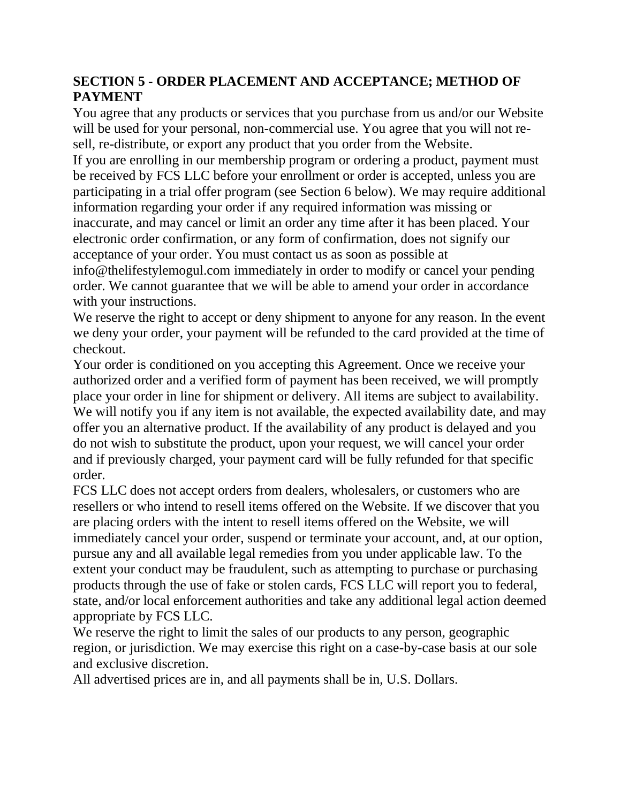# **SECTION 5 - ORDER PLACEMENT AND ACCEPTANCE; METHOD OF PAYMENT**

You agree that any products or services that you purchase from us and/or our Website will be used for your personal, non-commercial use. You agree that you will not resell, re-distribute, or export any product that you order from the Website.

If you are enrolling in our membership program or ordering a product, payment must be received by FCS LLC before your enrollment or order is accepted, unless you are participating in a trial offer program (see Section 6 below). We may require additional information regarding your order if any required information was missing or inaccurate, and may cancel or limit an order any time after it has been placed. Your electronic order confirmation, or any form of confirmation, does not signify our acceptance of your order. You must contact us as soon as possible at info@thelifestylemogul.com immediately in order to modify or cancel your pending order. We cannot guarantee that we will be able to amend your order in accordance with your instructions.

We reserve the right to accept or deny shipment to anyone for any reason. In the event we deny your order, your payment will be refunded to the card provided at the time of checkout.

Your order is conditioned on you accepting this Agreement. Once we receive your authorized order and a verified form of payment has been received, we will promptly place your order in line for shipment or delivery. All items are subject to availability. We will notify you if any item is not available, the expected availability date, and may offer you an alternative product. If the availability of any product is delayed and you do not wish to substitute the product, upon your request, we will cancel your order and if previously charged, your payment card will be fully refunded for that specific order.

FCS LLC does not accept orders from dealers, wholesalers, or customers who are resellers or who intend to resell items offered on the Website. If we discover that you are placing orders with the intent to resell items offered on the Website, we will immediately cancel your order, suspend or terminate your account, and, at our option, pursue any and all available legal remedies from you under applicable law. To the extent your conduct may be fraudulent, such as attempting to purchase or purchasing products through the use of fake or stolen cards, FCS LLC will report you to federal, state, and/or local enforcement authorities and take any additional legal action deemed appropriate by FCS LLC.

We reserve the right to limit the sales of our products to any person, geographic region, or jurisdiction. We may exercise this right on a case-by-case basis at our sole and exclusive discretion.

All advertised prices are in, and all payments shall be in, U.S. Dollars.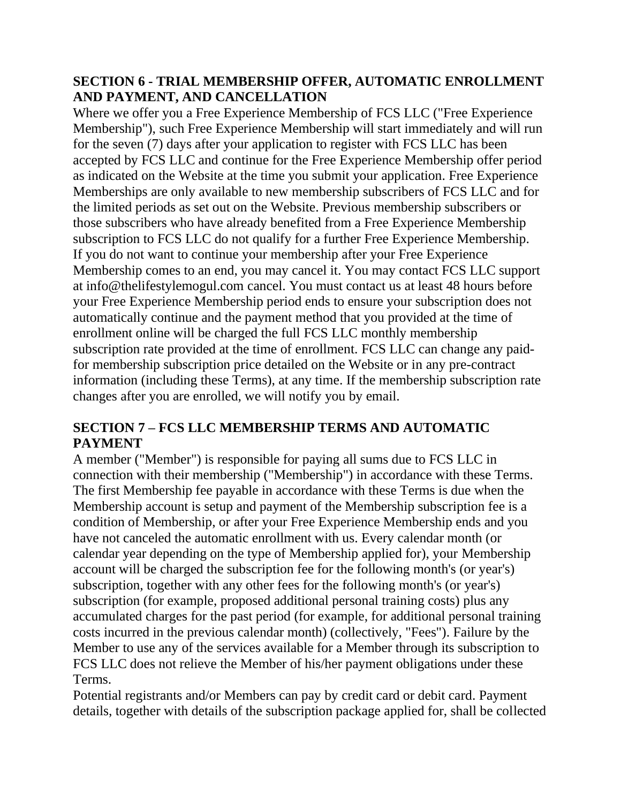### **SECTION 6 - TRIAL MEMBERSHIP OFFER, AUTOMATIC ENROLLMENT AND PAYMENT, AND CANCELLATION**

Where we offer you a Free Experience Membership of FCS LLC ("Free Experience Membership"), such Free Experience Membership will start immediately and will run for the seven (7) days after your application to register with FCS LLC has been accepted by FCS LLC and continue for the Free Experience Membership offer period as indicated on the Website at the time you submit your application. Free Experience Memberships are only available to new membership subscribers of FCS LLC and for the limited periods as set out on the Website. Previous membership subscribers or those subscribers who have already benefited from a Free Experience Membership subscription to FCS LLC do not qualify for a further Free Experience Membership. If you do not want to continue your membership after your Free Experience Membership comes to an end, you may cancel it. You may contact FCS LLC support at info@thelifestylemogul.com cancel. You must contact us at least 48 hours before your Free Experience Membership period ends to ensure your subscription does not automatically continue and the payment method that you provided at the time of enrollment online will be charged the full FCS LLC monthly membership subscription rate provided at the time of enrollment. FCS LLC can change any paidfor membership subscription price detailed on the Website or in any pre-contract information (including these Terms), at any time. If the membership subscription rate changes after you are enrolled, we will notify you by email.

# **SECTION 7 – FCS LLC MEMBERSHIP TERMS AND AUTOMATIC PAYMENT**

A member ("Member") is responsible for paying all sums due to FCS LLC in connection with their membership ("Membership") in accordance with these Terms. The first Membership fee payable in accordance with these Terms is due when the Membership account is setup and payment of the Membership subscription fee is a condition of Membership, or after your Free Experience Membership ends and you have not canceled the automatic enrollment with us. Every calendar month (or calendar year depending on the type of Membership applied for), your Membership account will be charged the subscription fee for the following month's (or year's) subscription, together with any other fees for the following month's (or year's) subscription (for example, proposed additional personal training costs) plus any accumulated charges for the past period (for example, for additional personal training costs incurred in the previous calendar month) (collectively, "Fees"). Failure by the Member to use any of the services available for a Member through its subscription to FCS LLC does not relieve the Member of his/her payment obligations under these Terms.

Potential registrants and/or Members can pay by credit card or debit card. Payment details, together with details of the subscription package applied for, shall be collected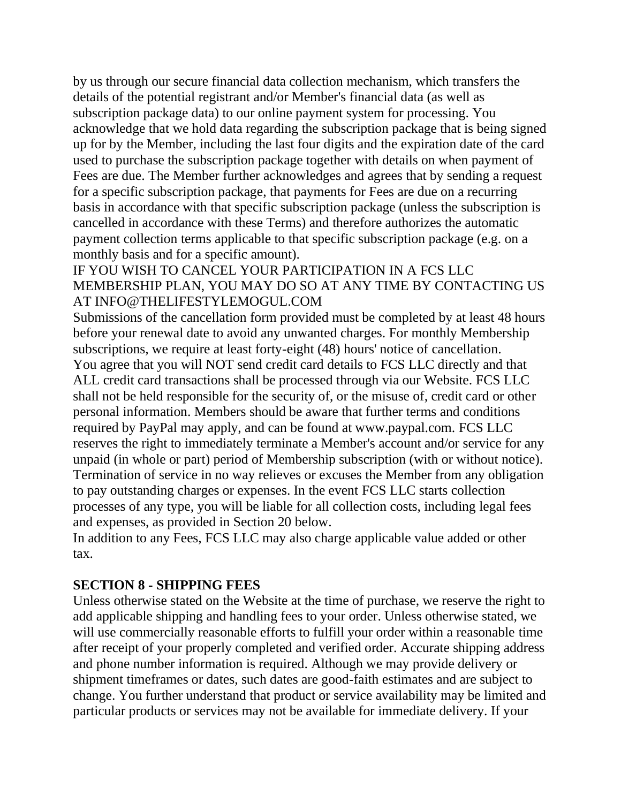by us through our secure financial data collection mechanism, which transfers the details of the potential registrant and/or Member's financial data (as well as subscription package data) to our online payment system for processing. You acknowledge that we hold data regarding the subscription package that is being signed up for by the Member, including the last four digits and the expiration date of the card used to purchase the subscription package together with details on when payment of Fees are due. The Member further acknowledges and agrees that by sending a request for a specific subscription package, that payments for Fees are due on a recurring basis in accordance with that specific subscription package (unless the subscription is cancelled in accordance with these Terms) and therefore authorizes the automatic payment collection terms applicable to that specific subscription package (e.g. on a monthly basis and for a specific amount).

### IF YOU WISH TO CANCEL YOUR PARTICIPATION IN A FCS LLC MEMBERSHIP PLAN, YOU MAY DO SO AT ANY TIME BY CONTACTING US AT INFO@THELIFESTYLEMOGUL.COM

Submissions of the cancellation form provided must be completed by at least 48 hours before your renewal date to avoid any unwanted charges. For monthly Membership subscriptions, we require at least forty-eight (48) hours' notice of cancellation. You agree that you will NOT send credit card details to FCS LLC directly and that ALL credit card transactions shall be processed through via our Website. FCS LLC shall not be held responsible for the security of, or the misuse of, credit card or other personal information. Members should be aware that further terms and conditions required by PayPal may apply, and can be found at www.paypal.com. FCS LLC reserves the right to immediately terminate a Member's account and/or service for any unpaid (in whole or part) period of Membership subscription (with or without notice). Termination of service in no way relieves or excuses the Member from any obligation to pay outstanding charges or expenses. In the event FCS LLC starts collection processes of any type, you will be liable for all collection costs, including legal fees and expenses, as provided in Section 20 below.

In addition to any Fees, FCS LLC may also charge applicable value added or other tax.

# **SECTION 8 - SHIPPING FEES**

Unless otherwise stated on the Website at the time of purchase, we reserve the right to add applicable shipping and handling fees to your order. Unless otherwise stated, we will use commercially reasonable efforts to fulfill your order within a reasonable time after receipt of your properly completed and verified order. Accurate shipping address and phone number information is required. Although we may provide delivery or shipment timeframes or dates, such dates are good-faith estimates and are subject to change. You further understand that product or service availability may be limited and particular products or services may not be available for immediate delivery. If your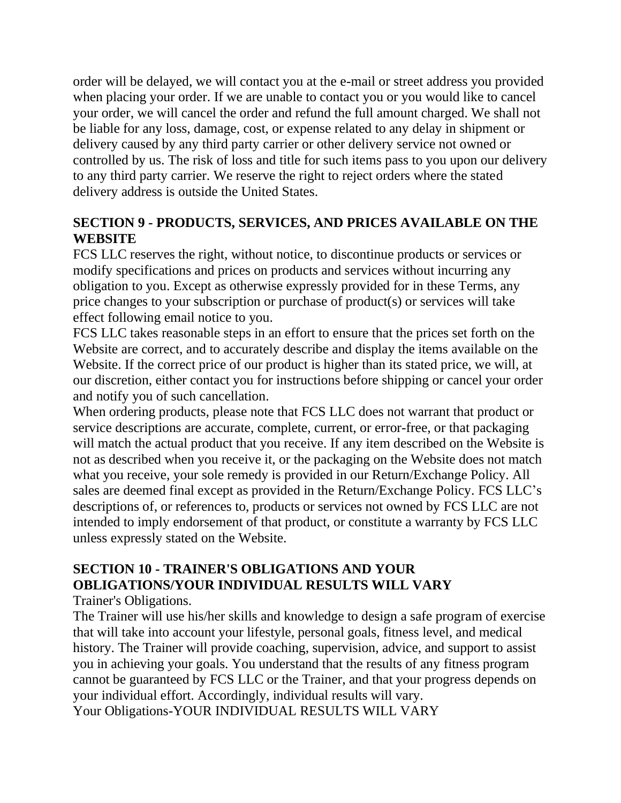order will be delayed, we will contact you at the e-mail or street address you provided when placing your order. If we are unable to contact you or you would like to cancel your order, we will cancel the order and refund the full amount charged. We shall not be liable for any loss, damage, cost, or expense related to any delay in shipment or delivery caused by any third party carrier or other delivery service not owned or controlled by us. The risk of loss and title for such items pass to you upon our delivery to any third party carrier. We reserve the right to reject orders where the stated delivery address is outside the United States.

# **SECTION 9 - PRODUCTS, SERVICES, AND PRICES AVAILABLE ON THE WEBSITE**

FCS LLC reserves the right, without notice, to discontinue products or services or modify specifications and prices on products and services without incurring any obligation to you. Except as otherwise expressly provided for in these Terms, any price changes to your subscription or purchase of product(s) or services will take effect following email notice to you.

FCS LLC takes reasonable steps in an effort to ensure that the prices set forth on the Website are correct, and to accurately describe and display the items available on the Website. If the correct price of our product is higher than its stated price, we will, at our discretion, either contact you for instructions before shipping or cancel your order and notify you of such cancellation.

When ordering products, please note that FCS LLC does not warrant that product or service descriptions are accurate, complete, current, or error-free, or that packaging will match the actual product that you receive. If any item described on the Website is not as described when you receive it, or the packaging on the Website does not match what you receive, your sole remedy is provided in our Return/Exchange Policy. All sales are deemed final except as provided in the Return/Exchange Policy. FCS LLC's descriptions of, or references to, products or services not owned by FCS LLC are not intended to imply endorsement of that product, or constitute a warranty by FCS LLC unless expressly stated on the Website.

# **SECTION 10 - TRAINER'S OBLIGATIONS AND YOUR OBLIGATIONS/YOUR INDIVIDUAL RESULTS WILL VARY**

Trainer's Obligations.

The Trainer will use his/her skills and knowledge to design a safe program of exercise that will take into account your lifestyle, personal goals, fitness level, and medical history. The Trainer will provide coaching, supervision, advice, and support to assist you in achieving your goals. You understand that the results of any fitness program cannot be guaranteed by FCS LLC or the Trainer, and that your progress depends on your individual effort. Accordingly, individual results will vary.

Your Obligations-YOUR INDIVIDUAL RESULTS WILL VARY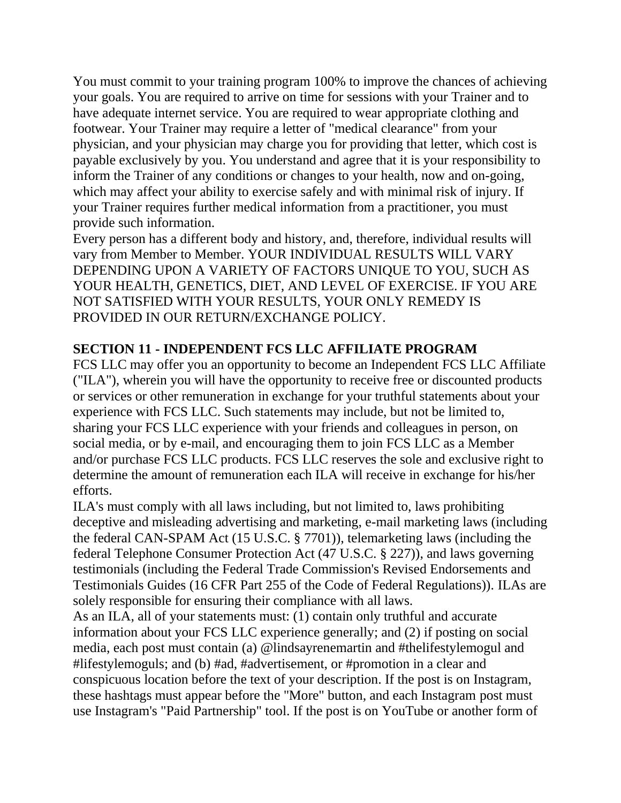You must commit to your training program 100% to improve the chances of achieving your goals. You are required to arrive on time for sessions with your Trainer and to have adequate internet service. You are required to wear appropriate clothing and footwear. Your Trainer may require a letter of "medical clearance" from your physician, and your physician may charge you for providing that letter, which cost is payable exclusively by you. You understand and agree that it is your responsibility to inform the Trainer of any conditions or changes to your health, now and on-going, which may affect your ability to exercise safely and with minimal risk of injury. If your Trainer requires further medical information from a practitioner, you must provide such information.

Every person has a different body and history, and, therefore, individual results will vary from Member to Member. YOUR INDIVIDUAL RESULTS WILL VARY DEPENDING UPON A VARIETY OF FACTORS UNIQUE TO YOU, SUCH AS YOUR HEALTH, GENETICS, DIET, AND LEVEL OF EXERCISE. IF YOU ARE NOT SATISFIED WITH YOUR RESULTS, YOUR ONLY REMEDY IS PROVIDED IN OUR RETURN/EXCHANGE POLICY.

### **SECTION 11 - INDEPENDENT FCS LLC AFFILIATE PROGRAM**

FCS LLC may offer you an opportunity to become an Independent FCS LLC Affiliate ("ILA"), wherein you will have the opportunity to receive free or discounted products or services or other remuneration in exchange for your truthful statements about your experience with FCS LLC. Such statements may include, but not be limited to, sharing your FCS LLC experience with your friends and colleagues in person, on social media, or by e-mail, and encouraging them to join FCS LLC as a Member and/or purchase FCS LLC products. FCS LLC reserves the sole and exclusive right to determine the amount of remuneration each ILA will receive in exchange for his/her efforts.

ILA's must comply with all laws including, but not limited to, laws prohibiting deceptive and misleading advertising and marketing, e-mail marketing laws (including the federal CAN-SPAM Act (15 U.S.C. § 7701)), telemarketing laws (including the federal Telephone Consumer Protection Act (47 U.S.C. § 227)), and laws governing testimonials (including the Federal Trade Commission's Revised Endorsements and Testimonials Guides (16 CFR Part 255 of the Code of Federal Regulations)). ILAs are solely responsible for ensuring their compliance with all laws.

As an ILA, all of your statements must: (1) contain only truthful and accurate information about your FCS LLC experience generally; and (2) if posting on social media, each post must contain (a) @lindsayrenemartin and #thelifestylemogul and #lifestylemoguls; and (b) #ad, #advertisement, or #promotion in a clear and conspicuous location before the text of your description. If the post is on Instagram, these hashtags must appear before the "More" button, and each Instagram post must use Instagram's "Paid Partnership" tool. If the post is on YouTube or another form of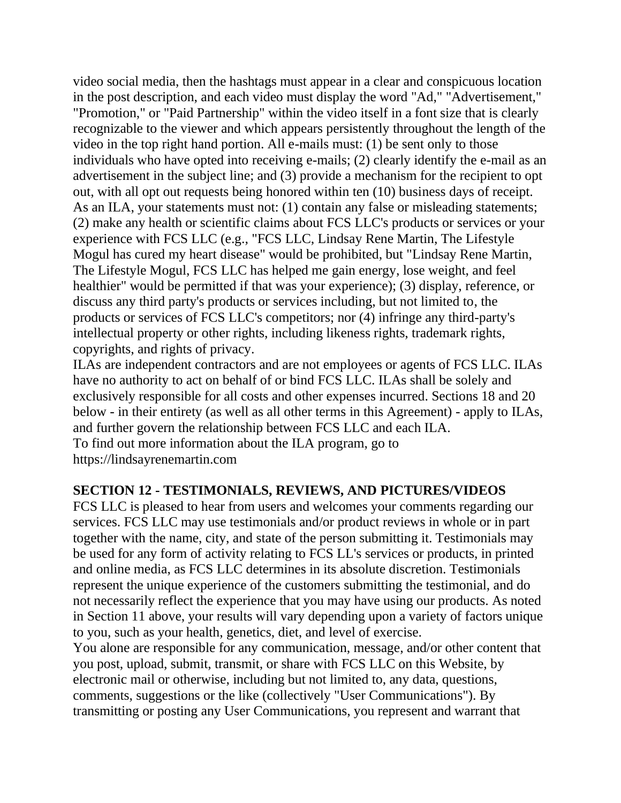video social media, then the hashtags must appear in a clear and conspicuous location in the post description, and each video must display the word "Ad," "Advertisement," "Promotion," or "Paid Partnership" within the video itself in a font size that is clearly recognizable to the viewer and which appears persistently throughout the length of the video in the top right hand portion. All e-mails must: (1) be sent only to those individuals who have opted into receiving e-mails; (2) clearly identify the e-mail as an advertisement in the subject line; and (3) provide a mechanism for the recipient to opt out, with all opt out requests being honored within ten (10) business days of receipt. As an ILA, your statements must not: (1) contain any false or misleading statements; (2) make any health or scientific claims about FCS LLC's products or services or your experience with FCS LLC (e.g., "FCS LLC, Lindsay Rene Martin, The Lifestyle Mogul has cured my heart disease" would be prohibited, but "Lindsay Rene Martin, The Lifestyle Mogul, FCS LLC has helped me gain energy, lose weight, and feel healthier" would be permitted if that was your experience); (3) display, reference, or discuss any third party's products or services including, but not limited to, the products or services of FCS LLC's competitors; nor (4) infringe any third-party's intellectual property or other rights, including likeness rights, trademark rights, copyrights, and rights of privacy.

ILAs are independent contractors and are not employees or agents of FCS LLC. ILAs have no authority to act on behalf of or bind FCS LLC. ILAs shall be solely and exclusively responsible for all costs and other expenses incurred. Sections 18 and 20 below - in their entirety (as well as all other terms in this Agreement) - apply to ILAs, and further govern the relationship between FCS LLC and each ILA. To find out more information about the ILA program, go to https://lindsayrenemartin.com

### **SECTION 12 - TESTIMONIALS, REVIEWS, AND PICTURES/VIDEOS**

FCS LLC is pleased to hear from users and welcomes your comments regarding our services. FCS LLC may use testimonials and/or product reviews in whole or in part together with the name, city, and state of the person submitting it. Testimonials may be used for any form of activity relating to FCS LL's services or products, in printed and online media, as FCS LLC determines in its absolute discretion. Testimonials represent the unique experience of the customers submitting the testimonial, and do not necessarily reflect the experience that you may have using our products. As noted in Section 11 above, your results will vary depending upon a variety of factors unique to you, such as your health, genetics, diet, and level of exercise.

You alone are responsible for any communication, message, and/or other content that you post, upload, submit, transmit, or share with FCS LLC on this Website, by electronic mail or otherwise, including but not limited to, any data, questions, comments, suggestions or the like (collectively "User Communications"). By transmitting or posting any User Communications, you represent and warrant that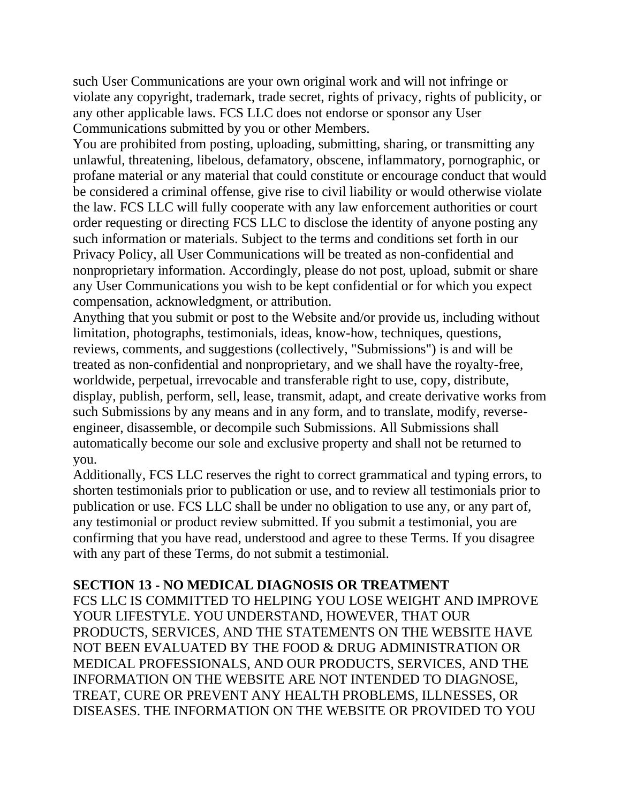such User Communications are your own original work and will not infringe or violate any copyright, trademark, trade secret, rights of privacy, rights of publicity, or any other applicable laws. FCS LLC does not endorse or sponsor any User Communications submitted by you or other Members.

You are prohibited from posting, uploading, submitting, sharing, or transmitting any unlawful, threatening, libelous, defamatory, obscene, inflammatory, pornographic, or profane material or any material that could constitute or encourage conduct that would be considered a criminal offense, give rise to civil liability or would otherwise violate the law. FCS LLC will fully cooperate with any law enforcement authorities or court order requesting or directing FCS LLC to disclose the identity of anyone posting any such information or materials. Subject to the terms and conditions set forth in our Privacy Policy, all User Communications will be treated as non-confidential and nonproprietary information. Accordingly, please do not post, upload, submit or share any User Communications you wish to be kept confidential or for which you expect compensation, acknowledgment, or attribution.

Anything that you submit or post to the Website and/or provide us, including without limitation, photographs, testimonials, ideas, know-how, techniques, questions, reviews, comments, and suggestions (collectively, "Submissions") is and will be treated as non-confidential and nonproprietary, and we shall have the royalty-free, worldwide, perpetual, irrevocable and transferable right to use, copy, distribute, display, publish, perform, sell, lease, transmit, adapt, and create derivative works from such Submissions by any means and in any form, and to translate, modify, reverseengineer, disassemble, or decompile such Submissions. All Submissions shall automatically become our sole and exclusive property and shall not be returned to you.

Additionally, FCS LLC reserves the right to correct grammatical and typing errors, to shorten testimonials prior to publication or use, and to review all testimonials prior to publication or use. FCS LLC shall be under no obligation to use any, or any part of, any testimonial or product review submitted. If you submit a testimonial, you are confirming that you have read, understood and agree to these Terms. If you disagree with any part of these Terms, do not submit a testimonial.

#### **SECTION 13 - NO MEDICAL DIAGNOSIS OR TREATMENT**

FCS LLC IS COMMITTED TO HELPING YOU LOSE WEIGHT AND IMPROVE YOUR LIFESTYLE. YOU UNDERSTAND, HOWEVER, THAT OUR PRODUCTS, SERVICES, AND THE STATEMENTS ON THE WEBSITE HAVE NOT BEEN EVALUATED BY THE FOOD & DRUG ADMINISTRATION OR MEDICAL PROFESSIONALS, AND OUR PRODUCTS, SERVICES, AND THE INFORMATION ON THE WEBSITE ARE NOT INTENDED TO DIAGNOSE, TREAT, CURE OR PREVENT ANY HEALTH PROBLEMS, ILLNESSES, OR DISEASES. THE INFORMATION ON THE WEBSITE OR PROVIDED TO YOU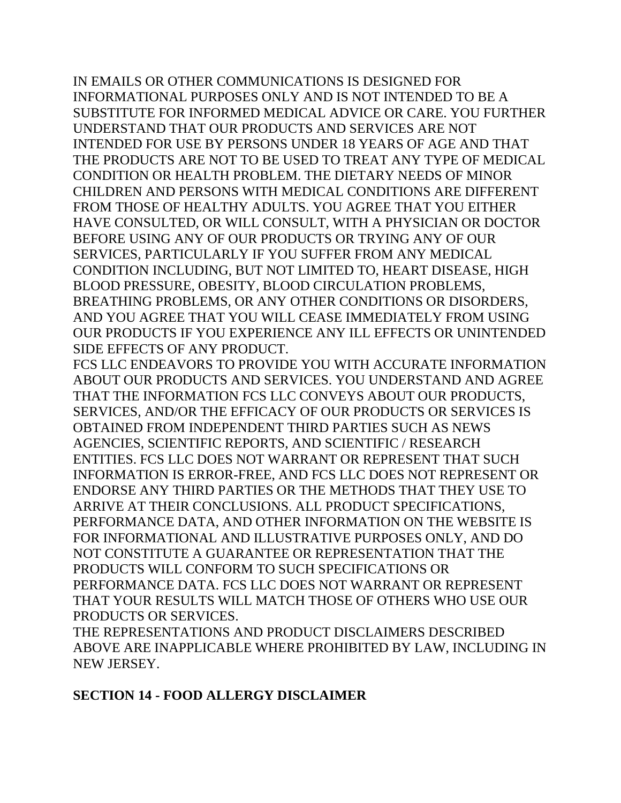IN EMAILS OR OTHER COMMUNICATIONS IS DESIGNED FOR INFORMATIONAL PURPOSES ONLY AND IS NOT INTENDED TO BE A SUBSTITUTE FOR INFORMED MEDICAL ADVICE OR CARE. YOU FURTHER UNDERSTAND THAT OUR PRODUCTS AND SERVICES ARE NOT INTENDED FOR USE BY PERSONS UNDER 18 YEARS OF AGE AND THAT THE PRODUCTS ARE NOT TO BE USED TO TREAT ANY TYPE OF MEDICAL CONDITION OR HEALTH PROBLEM. THE DIETARY NEEDS OF MINOR CHILDREN AND PERSONS WITH MEDICAL CONDITIONS ARE DIFFERENT FROM THOSE OF HEALTHY ADULTS. YOU AGREE THAT YOU EITHER HAVE CONSULTED, OR WILL CONSULT, WITH A PHYSICIAN OR DOCTOR BEFORE USING ANY OF OUR PRODUCTS OR TRYING ANY OF OUR SERVICES, PARTICULARLY IF YOU SUFFER FROM ANY MEDICAL CONDITION INCLUDING, BUT NOT LIMITED TO, HEART DISEASE, HIGH BLOOD PRESSURE, OBESITY, BLOOD CIRCULATION PROBLEMS, BREATHING PROBLEMS, OR ANY OTHER CONDITIONS OR DISORDERS, AND YOU AGREE THAT YOU WILL CEASE IMMEDIATELY FROM USING OUR PRODUCTS IF YOU EXPERIENCE ANY ILL EFFECTS OR UNINTENDED SIDE EFFECTS OF ANY PRODUCT.

FCS LLC ENDEAVORS TO PROVIDE YOU WITH ACCURATE INFORMATION ABOUT OUR PRODUCTS AND SERVICES. YOU UNDERSTAND AND AGREE THAT THE INFORMATION FCS LLC CONVEYS ABOUT OUR PRODUCTS, SERVICES, AND/OR THE EFFICACY OF OUR PRODUCTS OR SERVICES IS OBTAINED FROM INDEPENDENT THIRD PARTIES SUCH AS NEWS AGENCIES, SCIENTIFIC REPORTS, AND SCIENTIFIC / RESEARCH ENTITIES. FCS LLC DOES NOT WARRANT OR REPRESENT THAT SUCH INFORMATION IS ERROR-FREE, AND FCS LLC DOES NOT REPRESENT OR ENDORSE ANY THIRD PARTIES OR THE METHODS THAT THEY USE TO ARRIVE AT THEIR CONCLUSIONS. ALL PRODUCT SPECIFICATIONS, PERFORMANCE DATA, AND OTHER INFORMATION ON THE WEBSITE IS FOR INFORMATIONAL AND ILLUSTRATIVE PURPOSES ONLY, AND DO NOT CONSTITUTE A GUARANTEE OR REPRESENTATION THAT THE PRODUCTS WILL CONFORM TO SUCH SPECIFICATIONS OR PERFORMANCE DATA. FCS LLC DOES NOT WARRANT OR REPRESENT THAT YOUR RESULTS WILL MATCH THOSE OF OTHERS WHO USE OUR PRODUCTS OR SERVICES.

THE REPRESENTATIONS AND PRODUCT DISCLAIMERS DESCRIBED ABOVE ARE INAPPLICABLE WHERE PROHIBITED BY LAW, INCLUDING IN NEW JERSEY.

### **SECTION 14 - FOOD ALLERGY DISCLAIMER**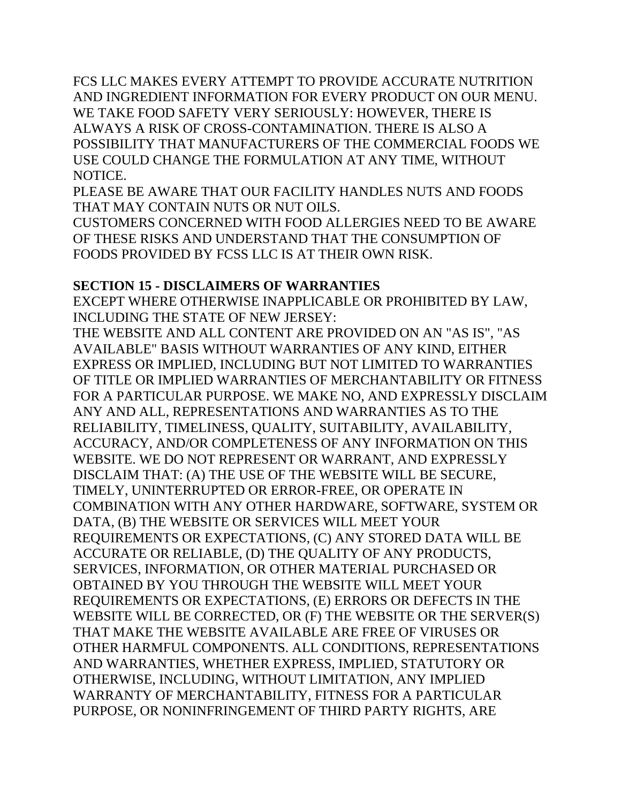FCS LLC MAKES EVERY ATTEMPT TO PROVIDE ACCURATE NUTRITION AND INGREDIENT INFORMATION FOR EVERY PRODUCT ON OUR MENU. WE TAKE FOOD SAFETY VERY SERIOUSLY: HOWEVER, THERE IS ALWAYS A RISK OF CROSS-CONTAMINATION. THERE IS ALSO A POSSIBILITY THAT MANUFACTURERS OF THE COMMERCIAL FOODS WE USE COULD CHANGE THE FORMULATION AT ANY TIME, WITHOUT NOTICE.

PLEASE BE AWARE THAT OUR FACILITY HANDLES NUTS AND FOODS THAT MAY CONTAIN NUTS OR NUT OILS.

CUSTOMERS CONCERNED WITH FOOD ALLERGIES NEED TO BE AWARE OF THESE RISKS AND UNDERSTAND THAT THE CONSUMPTION OF FOODS PROVIDED BY FCSS LLC IS AT THEIR OWN RISK.

### **SECTION 15 - DISCLAIMERS OF WARRANTIES**

EXCEPT WHERE OTHERWISE INAPPLICABLE OR PROHIBITED BY LAW, INCLUDING THE STATE OF NEW JERSEY:

THE WEBSITE AND ALL CONTENT ARE PROVIDED ON AN "AS IS", "AS AVAILABLE" BASIS WITHOUT WARRANTIES OF ANY KIND, EITHER EXPRESS OR IMPLIED, INCLUDING BUT NOT LIMITED TO WARRANTIES OF TITLE OR IMPLIED WARRANTIES OF MERCHANTABILITY OR FITNESS FOR A PARTICULAR PURPOSE. WE MAKE NO, AND EXPRESSLY DISCLAIM ANY AND ALL, REPRESENTATIONS AND WARRANTIES AS TO THE RELIABILITY, TIMELINESS, QUALITY, SUITABILITY, AVAILABILITY, ACCURACY, AND/OR COMPLETENESS OF ANY INFORMATION ON THIS WEBSITE. WE DO NOT REPRESENT OR WARRANT, AND EXPRESSLY DISCLAIM THAT: (A) THE USE OF THE WEBSITE WILL BE SECURE, TIMELY, UNINTERRUPTED OR ERROR-FREE, OR OPERATE IN COMBINATION WITH ANY OTHER HARDWARE, SOFTWARE, SYSTEM OR DATA, (B) THE WEBSITE OR SERVICES WILL MEET YOUR REQUIREMENTS OR EXPECTATIONS, (C) ANY STORED DATA WILL BE ACCURATE OR RELIABLE, (D) THE QUALITY OF ANY PRODUCTS, SERVICES, INFORMATION, OR OTHER MATERIAL PURCHASED OR OBTAINED BY YOU THROUGH THE WEBSITE WILL MEET YOUR REQUIREMENTS OR EXPECTATIONS, (E) ERRORS OR DEFECTS IN THE WEBSITE WILL BE CORRECTED, OR (F) THE WEBSITE OR THE SERVER(S) THAT MAKE THE WEBSITE AVAILABLE ARE FREE OF VIRUSES OR OTHER HARMFUL COMPONENTS. ALL CONDITIONS, REPRESENTATIONS AND WARRANTIES, WHETHER EXPRESS, IMPLIED, STATUTORY OR OTHERWISE, INCLUDING, WITHOUT LIMITATION, ANY IMPLIED WARRANTY OF MERCHANTABILITY, FITNESS FOR A PARTICULAR PURPOSE, OR NONINFRINGEMENT OF THIRD PARTY RIGHTS, ARE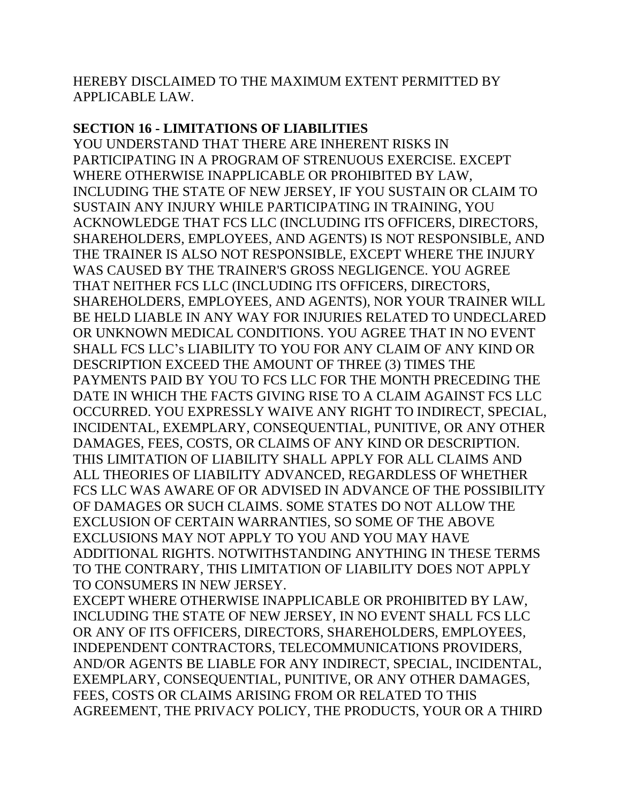### HEREBY DISCLAIMED TO THE MAXIMUM EXTENT PERMITTED BY APPLICABLE LAW.

### **SECTION 16 - LIMITATIONS OF LIABILITIES**

YOU UNDERSTAND THAT THERE ARE INHERENT RISKS IN PARTICIPATING IN A PROGRAM OF STRENUOUS EXERCISE. EXCEPT WHERE OTHERWISE INAPPLICABLE OR PROHIBITED BY LAW, INCLUDING THE STATE OF NEW JERSEY, IF YOU SUSTAIN OR CLAIM TO SUSTAIN ANY INJURY WHILE PARTICIPATING IN TRAINING, YOU ACKNOWLEDGE THAT FCS LLC (INCLUDING ITS OFFICERS, DIRECTORS, SHAREHOLDERS, EMPLOYEES, AND AGENTS) IS NOT RESPONSIBLE, AND THE TRAINER IS ALSO NOT RESPONSIBLE, EXCEPT WHERE THE INJURY WAS CAUSED BY THE TRAINER'S GROSS NEGLIGENCE. YOU AGREE THAT NEITHER FCS LLC (INCLUDING ITS OFFICERS, DIRECTORS, SHAREHOLDERS, EMPLOYEES, AND AGENTS), NOR YOUR TRAINER WILL BE HELD LIABLE IN ANY WAY FOR INJURIES RELATED TO UNDECLARED OR UNKNOWN MEDICAL CONDITIONS. YOU AGREE THAT IN NO EVENT SHALL FCS LLC's LIABILITY TO YOU FOR ANY CLAIM OF ANY KIND OR DESCRIPTION EXCEED THE AMOUNT OF THREE (3) TIMES THE PAYMENTS PAID BY YOU TO FCS LLC FOR THE MONTH PRECEDING THE DATE IN WHICH THE FACTS GIVING RISE TO A CLAIM AGAINST FCS LLC OCCURRED. YOU EXPRESSLY WAIVE ANY RIGHT TO INDIRECT, SPECIAL, INCIDENTAL, EXEMPLARY, CONSEQUENTIAL, PUNITIVE, OR ANY OTHER DAMAGES, FEES, COSTS, OR CLAIMS OF ANY KIND OR DESCRIPTION. THIS LIMITATION OF LIABILITY SHALL APPLY FOR ALL CLAIMS AND ALL THEORIES OF LIABILITY ADVANCED, REGARDLESS OF WHETHER FCS LLC WAS AWARE OF OR ADVISED IN ADVANCE OF THE POSSIBILITY OF DAMAGES OR SUCH CLAIMS. SOME STATES DO NOT ALLOW THE EXCLUSION OF CERTAIN WARRANTIES, SO SOME OF THE ABOVE EXCLUSIONS MAY NOT APPLY TO YOU AND YOU MAY HAVE ADDITIONAL RIGHTS. NOTWITHSTANDING ANYTHING IN THESE TERMS TO THE CONTRARY, THIS LIMITATION OF LIABILITY DOES NOT APPLY TO CONSUMERS IN NEW JERSEY.

EXCEPT WHERE OTHERWISE INAPPLICABLE OR PROHIBITED BY LAW, INCLUDING THE STATE OF NEW JERSEY, IN NO EVENT SHALL FCS LLC OR ANY OF ITS OFFICERS, DIRECTORS, SHAREHOLDERS, EMPLOYEES, INDEPENDENT CONTRACTORS, TELECOMMUNICATIONS PROVIDERS, AND/OR AGENTS BE LIABLE FOR ANY INDIRECT, SPECIAL, INCIDENTAL, EXEMPLARY, CONSEQUENTIAL, PUNITIVE, OR ANY OTHER DAMAGES, FEES, COSTS OR CLAIMS ARISING FROM OR RELATED TO THIS AGREEMENT, THE PRIVACY POLICY, THE PRODUCTS, YOUR OR A THIRD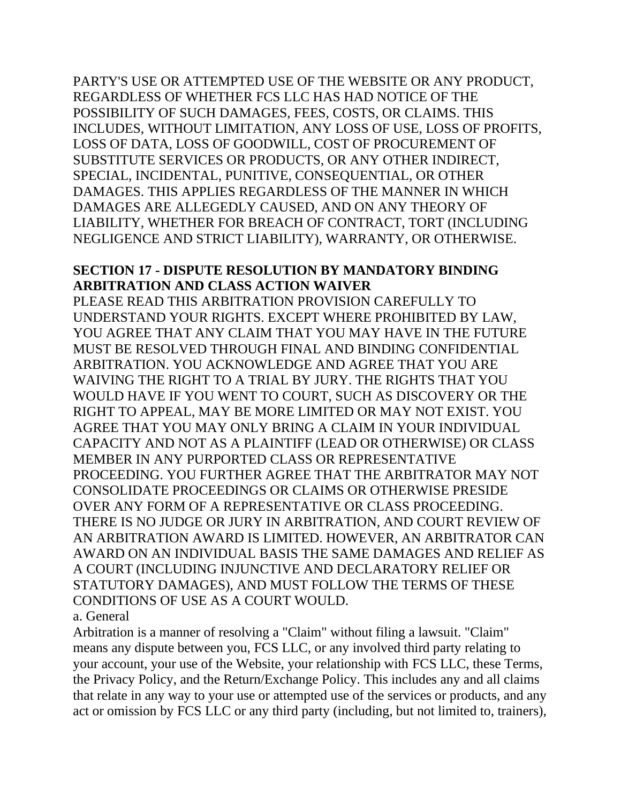PARTY'S USE OR ATTEMPTED USE OF THE WEBSITE OR ANY PRODUCT, REGARDLESS OF WHETHER FCS LLC HAS HAD NOTICE OF THE POSSIBILITY OF SUCH DAMAGES, FEES, COSTS, OR CLAIMS. THIS INCLUDES, WITHOUT LIMITATION, ANY LOSS OF USE, LOSS OF PROFITS, LOSS OF DATA, LOSS OF GOODWILL, COST OF PROCUREMENT OF SUBSTITUTE SERVICES OR PRODUCTS, OR ANY OTHER INDIRECT, SPECIAL, INCIDENTAL, PUNITIVE, CONSEQUENTIAL, OR OTHER DAMAGES. THIS APPLIES REGARDLESS OF THE MANNER IN WHICH DAMAGES ARE ALLEGEDLY CAUSED, AND ON ANY THEORY OF LIABILITY, WHETHER FOR BREACH OF CONTRACT, TORT (INCLUDING NEGLIGENCE AND STRICT LIABILITY), WARRANTY, OR OTHERWISE.

### **SECTION 17 - DISPUTE RESOLUTION BY MANDATORY BINDING ARBITRATION AND CLASS ACTION WAIVER**

PLEASE READ THIS ARBITRATION PROVISION CAREFULLY TO UNDERSTAND YOUR RIGHTS. EXCEPT WHERE PROHIBITED BY LAW, YOU AGREE THAT ANY CLAIM THAT YOU MAY HAVE IN THE FUTURE MUST BE RESOLVED THROUGH FINAL AND BINDING CONFIDENTIAL ARBITRATION. YOU ACKNOWLEDGE AND AGREE THAT YOU ARE WAIVING THE RIGHT TO A TRIAL BY JURY. THE RIGHTS THAT YOU WOULD HAVE IF YOU WENT TO COURT, SUCH AS DISCOVERY OR THE RIGHT TO APPEAL, MAY BE MORE LIMITED OR MAY NOT EXIST. YOU AGREE THAT YOU MAY ONLY BRING A CLAIM IN YOUR INDIVIDUAL CAPACITY AND NOT AS A PLAINTIFF (LEAD OR OTHERWISE) OR CLASS MEMBER IN ANY PURPORTED CLASS OR REPRESENTATIVE PROCEEDING. YOU FURTHER AGREE THAT THE ARBITRATOR MAY NOT CONSOLIDATE PROCEEDINGS OR CLAIMS OR OTHERWISE PRESIDE OVER ANY FORM OF A REPRESENTATIVE OR CLASS PROCEEDING. THERE IS NO JUDGE OR JURY IN ARBITRATION, AND COURT REVIEW OF AN ARBITRATION AWARD IS LIMITED. HOWEVER, AN ARBITRATOR CAN AWARD ON AN INDIVIDUAL BASIS THE SAME DAMAGES AND RELIEF AS A COURT (INCLUDING INJUNCTIVE AND DECLARATORY RELIEF OR STATUTORY DAMAGES), AND MUST FOLLOW THE TERMS OF THESE CONDITIONS OF USE AS A COURT WOULD.

#### a. General

Arbitration is a manner of resolving a "Claim" without filing a lawsuit. "Claim" means any dispute between you, FCS LLC, or any involved third party relating to your account, your use of the Website, your relationship with FCS LLC, these Terms, the Privacy Policy, and the Return/Exchange Policy. This includes any and all claims that relate in any way to your use or attempted use of the services or products, and any act or omission by FCS LLC or any third party (including, but not limited to, trainers),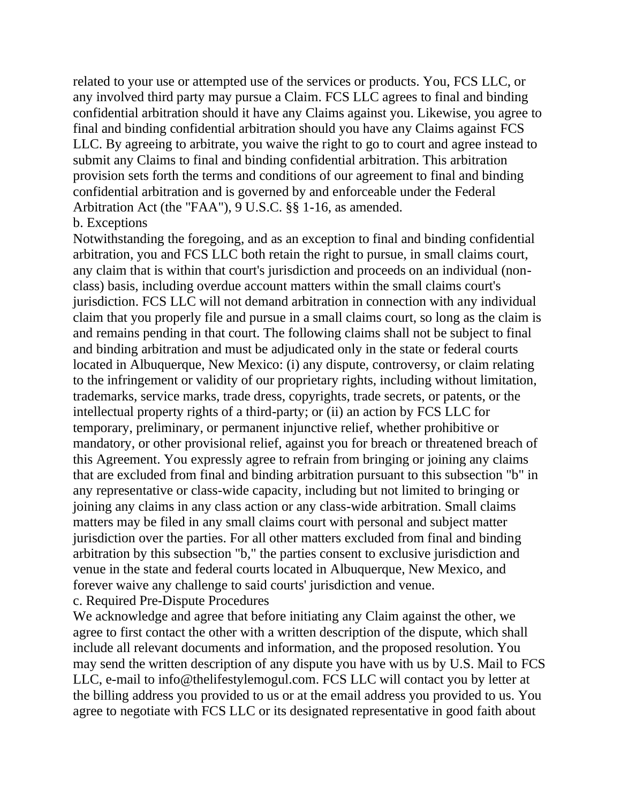related to your use or attempted use of the services or products. You, FCS LLC, or any involved third party may pursue a Claim. FCS LLC agrees to final and binding confidential arbitration should it have any Claims against you. Likewise, you agree to final and binding confidential arbitration should you have any Claims against FCS LLC. By agreeing to arbitrate, you waive the right to go to court and agree instead to submit any Claims to final and binding confidential arbitration. This arbitration provision sets forth the terms and conditions of our agreement to final and binding confidential arbitration and is governed by and enforceable under the Federal Arbitration Act (the "FAA"), 9 U.S.C. §§ 1-16, as amended.

#### b. Exceptions

Notwithstanding the foregoing, and as an exception to final and binding confidential arbitration, you and FCS LLC both retain the right to pursue, in small claims court, any claim that is within that court's jurisdiction and proceeds on an individual (nonclass) basis, including overdue account matters within the small claims court's jurisdiction. FCS LLC will not demand arbitration in connection with any individual claim that you properly file and pursue in a small claims court, so long as the claim is and remains pending in that court. The following claims shall not be subject to final and binding arbitration and must be adjudicated only in the state or federal courts located in Albuquerque, New Mexico: (i) any dispute, controversy, or claim relating to the infringement or validity of our proprietary rights, including without limitation, trademarks, service marks, trade dress, copyrights, trade secrets, or patents, or the intellectual property rights of a third-party; or (ii) an action by FCS LLC for temporary, preliminary, or permanent injunctive relief, whether prohibitive or mandatory, or other provisional relief, against you for breach or threatened breach of this Agreement. You expressly agree to refrain from bringing or joining any claims that are excluded from final and binding arbitration pursuant to this subsection "b" in any representative or class-wide capacity, including but not limited to bringing or joining any claims in any class action or any class-wide arbitration. Small claims matters may be filed in any small claims court with personal and subject matter jurisdiction over the parties. For all other matters excluded from final and binding arbitration by this subsection "b," the parties consent to exclusive jurisdiction and venue in the state and federal courts located in Albuquerque, New Mexico, and forever waive any challenge to said courts' jurisdiction and venue. c. Required Pre-Dispute Procedures

We acknowledge and agree that before initiating any Claim against the other, we agree to first contact the other with a written description of the dispute, which shall include all relevant documents and information, and the proposed resolution. You may send the written description of any dispute you have with us by U.S. Mail to FCS LLC, e-mail to info@thelifestylemogul.com. FCS LLC will contact you by letter at the billing address you provided to us or at the email address you provided to us. You agree to negotiate with FCS LLC or its designated representative in good faith about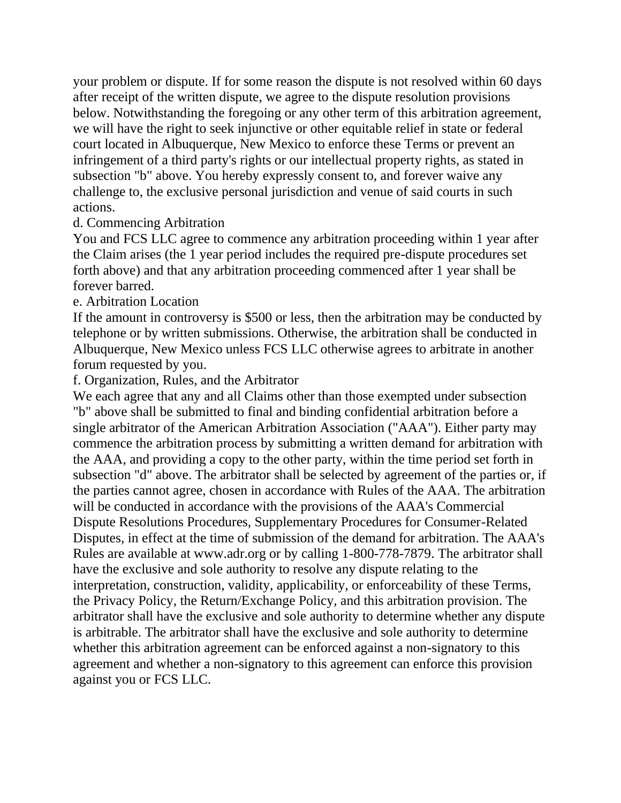your problem or dispute. If for some reason the dispute is not resolved within 60 days after receipt of the written dispute, we agree to the dispute resolution provisions below. Notwithstanding the foregoing or any other term of this arbitration agreement, we will have the right to seek injunctive or other equitable relief in state or federal court located in Albuquerque, New Mexico to enforce these Terms or prevent an infringement of a third party's rights or our intellectual property rights, as stated in subsection "b" above. You hereby expressly consent to, and forever waive any challenge to, the exclusive personal jurisdiction and venue of said courts in such actions.

#### d. Commencing Arbitration

You and FCS LLC agree to commence any arbitration proceeding within 1 year after the Claim arises (the 1 year period includes the required pre-dispute procedures set forth above) and that any arbitration proceeding commenced after 1 year shall be forever barred.

e. Arbitration Location

If the amount in controversy is \$500 or less, then the arbitration may be conducted by telephone or by written submissions. Otherwise, the arbitration shall be conducted in Albuquerque, New Mexico unless FCS LLC otherwise agrees to arbitrate in another forum requested by you.

f. Organization, Rules, and the Arbitrator

We each agree that any and all Claims other than those exempted under subsection "b" above shall be submitted to final and binding confidential arbitration before a single arbitrator of the American Arbitration Association ("AAA"). Either party may commence the arbitration process by submitting a written demand for arbitration with the AAA, and providing a copy to the other party, within the time period set forth in subsection "d" above. The arbitrator shall be selected by agreement of the parties or, if the parties cannot agree, chosen in accordance with Rules of the AAA. The arbitration will be conducted in accordance with the provisions of the AAA's Commercial Dispute Resolutions Procedures, Supplementary Procedures for Consumer-Related Disputes, in effect at the time of submission of the demand for arbitration. The AAA's Rules are available at www.adr.org or by calling 1-800-778-7879. The arbitrator shall have the exclusive and sole authority to resolve any dispute relating to the interpretation, construction, validity, applicability, or enforceability of these Terms, the Privacy Policy, the Return/Exchange Policy, and this arbitration provision. The arbitrator shall have the exclusive and sole authority to determine whether any dispute is arbitrable. The arbitrator shall have the exclusive and sole authority to determine whether this arbitration agreement can be enforced against a non-signatory to this agreement and whether a non-signatory to this agreement can enforce this provision against you or FCS LLC.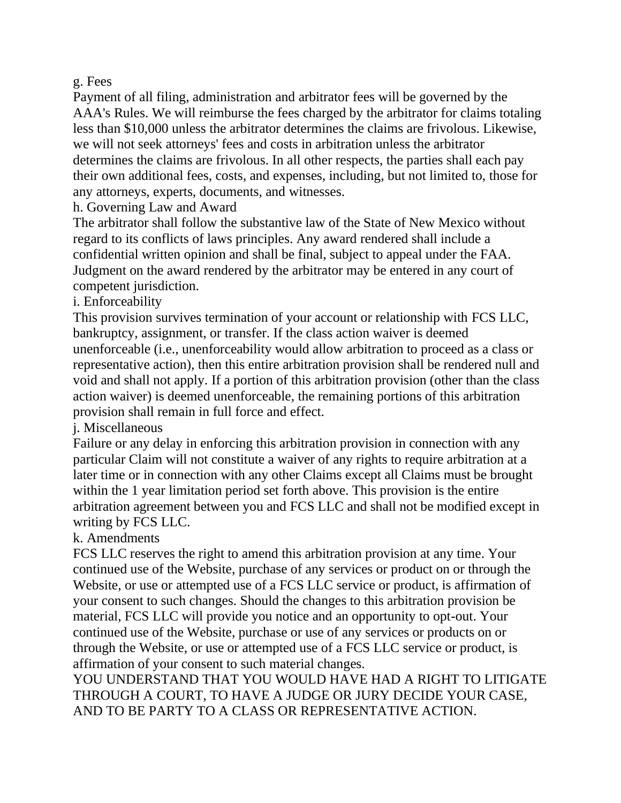#### g. Fees

Payment of all filing, administration and arbitrator fees will be governed by the AAA's Rules. We will reimburse the fees charged by the arbitrator for claims totaling less than \$10,000 unless the arbitrator determines the claims are frivolous. Likewise, we will not seek attorneys' fees and costs in arbitration unless the arbitrator determines the claims are frivolous. In all other respects, the parties shall each pay their own additional fees, costs, and expenses, including, but not limited to, those for any attorneys, experts, documents, and witnesses.

h. Governing Law and Award

The arbitrator shall follow the substantive law of the State of New Mexico without regard to its conflicts of laws principles. Any award rendered shall include a confidential written opinion and shall be final, subject to appeal under the FAA. Judgment on the award rendered by the arbitrator may be entered in any court of competent jurisdiction.

i. Enforceability

This provision survives termination of your account or relationship with FCS LLC, bankruptcy, assignment, or transfer. If the class action waiver is deemed unenforceable (i.e., unenforceability would allow arbitration to proceed as a class or representative action), then this entire arbitration provision shall be rendered null and void and shall not apply. If a portion of this arbitration provision (other than the class action waiver) is deemed unenforceable, the remaining portions of this arbitration provision shall remain in full force and effect.

j. Miscellaneous

Failure or any delay in enforcing this arbitration provision in connection with any particular Claim will not constitute a waiver of any rights to require arbitration at a later time or in connection with any other Claims except all Claims must be brought within the 1 year limitation period set forth above. This provision is the entire arbitration agreement between you and FCS LLC and shall not be modified except in writing by FCS LLC.

### k. Amendments

FCS LLC reserves the right to amend this arbitration provision at any time. Your continued use of the Website, purchase of any services or product on or through the Website, or use or attempted use of a FCS LLC service or product, is affirmation of your consent to such changes. Should the changes to this arbitration provision be material, FCS LLC will provide you notice and an opportunity to opt-out. Your continued use of the Website, purchase or use of any services or products on or through the Website, or use or attempted use of a FCS LLC service or product, is affirmation of your consent to such material changes.

YOU UNDERSTAND THAT YOU WOULD HAVE HAD A RIGHT TO LITIGATE THROUGH A COURT, TO HAVE A JUDGE OR JURY DECIDE YOUR CASE, AND TO BE PARTY TO A CLASS OR REPRESENTATIVE ACTION.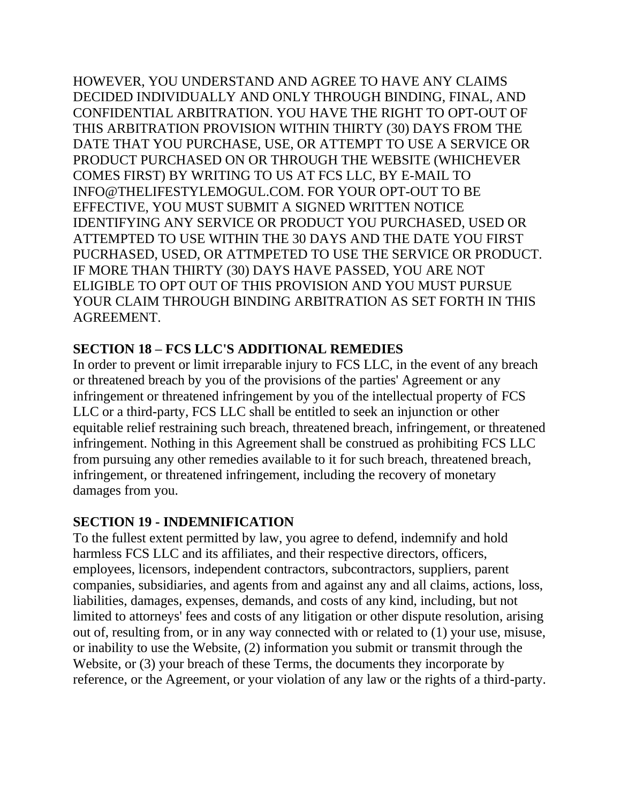HOWEVER, YOU UNDERSTAND AND AGREE TO HAVE ANY CLAIMS DECIDED INDIVIDUALLY AND ONLY THROUGH BINDING, FINAL, AND CONFIDENTIAL ARBITRATION. YOU HAVE THE RIGHT TO OPT-OUT OF THIS ARBITRATION PROVISION WITHIN THIRTY (30) DAYS FROM THE DATE THAT YOU PURCHASE, USE, OR ATTEMPT TO USE A SERVICE OR PRODUCT PURCHASED ON OR THROUGH THE WEBSITE (WHICHEVER COMES FIRST) BY WRITING TO US AT FCS LLC, BY E-MAIL TO INFO@THELIFESTYLEMOGUL.COM. FOR YOUR OPT-OUT TO BE EFFECTIVE, YOU MUST SUBMIT A SIGNED WRITTEN NOTICE IDENTIFYING ANY SERVICE OR PRODUCT YOU PURCHASED, USED OR ATTEMPTED TO USE WITHIN THE 30 DAYS AND THE DATE YOU FIRST PUCRHASED, USED, OR ATTMPETED TO USE THE SERVICE OR PRODUCT. IF MORE THAN THIRTY (30) DAYS HAVE PASSED, YOU ARE NOT ELIGIBLE TO OPT OUT OF THIS PROVISION AND YOU MUST PURSUE YOUR CLAIM THROUGH BINDING ARBITRATION AS SET FORTH IN THIS AGREEMENT.

### **SECTION 18 – FCS LLC'S ADDITIONAL REMEDIES**

In order to prevent or limit irreparable injury to FCS LLC, in the event of any breach or threatened breach by you of the provisions of the parties' Agreement or any infringement or threatened infringement by you of the intellectual property of FCS LLC or a third-party, FCS LLC shall be entitled to seek an injunction or other equitable relief restraining such breach, threatened breach, infringement, or threatened infringement. Nothing in this Agreement shall be construed as prohibiting FCS LLC from pursuing any other remedies available to it for such breach, threatened breach, infringement, or threatened infringement, including the recovery of monetary damages from you.

### **SECTION 19 - INDEMNIFICATION**

To the fullest extent permitted by law, you agree to defend, indemnify and hold harmless FCS LLC and its affiliates, and their respective directors, officers, employees, licensors, independent contractors, subcontractors, suppliers, parent companies, subsidiaries, and agents from and against any and all claims, actions, loss, liabilities, damages, expenses, demands, and costs of any kind, including, but not limited to attorneys' fees and costs of any litigation or other dispute resolution, arising out of, resulting from, or in any way connected with or related to (1) your use, misuse, or inability to use the Website, (2) information you submit or transmit through the Website, or (3) your breach of these Terms, the documents they incorporate by reference, or the Agreement, or your violation of any law or the rights of a third-party.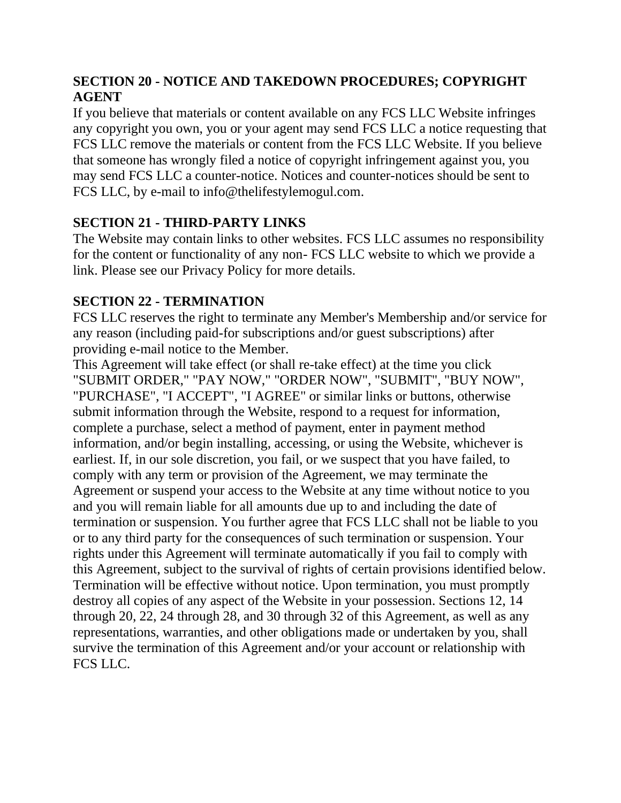# **SECTION 20 - NOTICE AND TAKEDOWN PROCEDURES; COPYRIGHT AGENT**

If you believe that materials or content available on any FCS LLC Website infringes any copyright you own, you or your agent may send FCS LLC a notice requesting that FCS LLC remove the materials or content from the FCS LLC Website. If you believe that someone has wrongly filed a notice of copyright infringement against you, you may send FCS LLC a counter-notice. Notices and counter-notices should be sent to FCS LLC, by e-mail to info@thelifestylemogul.com.

# **SECTION 21 - THIRD-PARTY LINKS**

The Website may contain links to other websites. FCS LLC assumes no responsibility for the content or functionality of any non- FCS LLC website to which we provide a link. Please see our Privacy Policy for more details.

### **SECTION 22 - TERMINATION**

FCS LLC reserves the right to terminate any Member's Membership and/or service for any reason (including paid-for subscriptions and/or guest subscriptions) after providing e-mail notice to the Member.

This Agreement will take effect (or shall re-take effect) at the time you click "SUBMIT ORDER," "PAY NOW," "ORDER NOW", "SUBMIT", "BUY NOW", "PURCHASE", "I ACCEPT", "I AGREE" or similar links or buttons, otherwise submit information through the Website, respond to a request for information, complete a purchase, select a method of payment, enter in payment method information, and/or begin installing, accessing, or using the Website, whichever is earliest. If, in our sole discretion, you fail, or we suspect that you have failed, to comply with any term or provision of the Agreement, we may terminate the Agreement or suspend your access to the Website at any time without notice to you and you will remain liable for all amounts due up to and including the date of termination or suspension. You further agree that FCS LLC shall not be liable to you or to any third party for the consequences of such termination or suspension. Your rights under this Agreement will terminate automatically if you fail to comply with this Agreement, subject to the survival of rights of certain provisions identified below. Termination will be effective without notice. Upon termination, you must promptly destroy all copies of any aspect of the Website in your possession. Sections 12, 14 through 20, 22, 24 through 28, and 30 through 32 of this Agreement, as well as any representations, warranties, and other obligations made or undertaken by you, shall survive the termination of this Agreement and/or your account or relationship with FCS LLC.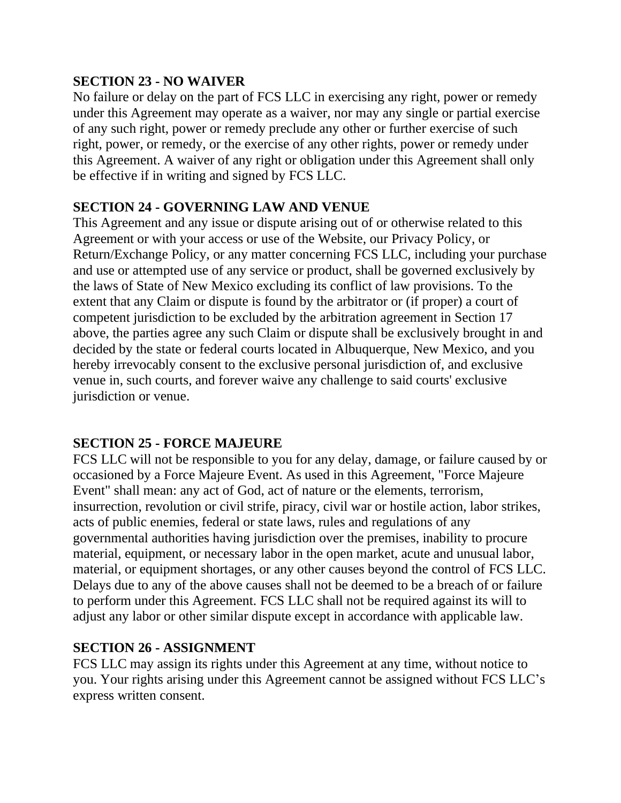### **SECTION 23 - NO WAIVER**

No failure or delay on the part of FCS LLC in exercising any right, power or remedy under this Agreement may operate as a waiver, nor may any single or partial exercise of any such right, power or remedy preclude any other or further exercise of such right, power, or remedy, or the exercise of any other rights, power or remedy under this Agreement. A waiver of any right or obligation under this Agreement shall only be effective if in writing and signed by FCS LLC.

### **SECTION 24 - GOVERNING LAW AND VENUE**

This Agreement and any issue or dispute arising out of or otherwise related to this Agreement or with your access or use of the Website, our Privacy Policy, or Return/Exchange Policy, or any matter concerning FCS LLC, including your purchase and use or attempted use of any service or product, shall be governed exclusively by the laws of State of New Mexico excluding its conflict of law provisions. To the extent that any Claim or dispute is found by the arbitrator or (if proper) a court of competent jurisdiction to be excluded by the arbitration agreement in Section 17 above, the parties agree any such Claim or dispute shall be exclusively brought in and decided by the state or federal courts located in Albuquerque, New Mexico, and you hereby irrevocably consent to the exclusive personal jurisdiction of, and exclusive venue in, such courts, and forever waive any challenge to said courts' exclusive jurisdiction or venue.

### **SECTION 25 - FORCE MAJEURE**

FCS LLC will not be responsible to you for any delay, damage, or failure caused by or occasioned by a Force Majeure Event. As used in this Agreement, "Force Majeure Event" shall mean: any act of God, act of nature or the elements, terrorism, insurrection, revolution or civil strife, piracy, civil war or hostile action, labor strikes, acts of public enemies, federal or state laws, rules and regulations of any governmental authorities having jurisdiction over the premises, inability to procure material, equipment, or necessary labor in the open market, acute and unusual labor, material, or equipment shortages, or any other causes beyond the control of FCS LLC. Delays due to any of the above causes shall not be deemed to be a breach of or failure to perform under this Agreement. FCS LLC shall not be required against its will to adjust any labor or other similar dispute except in accordance with applicable law.

### **SECTION 26 - ASSIGNMENT**

FCS LLC may assign its rights under this Agreement at any time, without notice to you. Your rights arising under this Agreement cannot be assigned without FCS LLC's express written consent.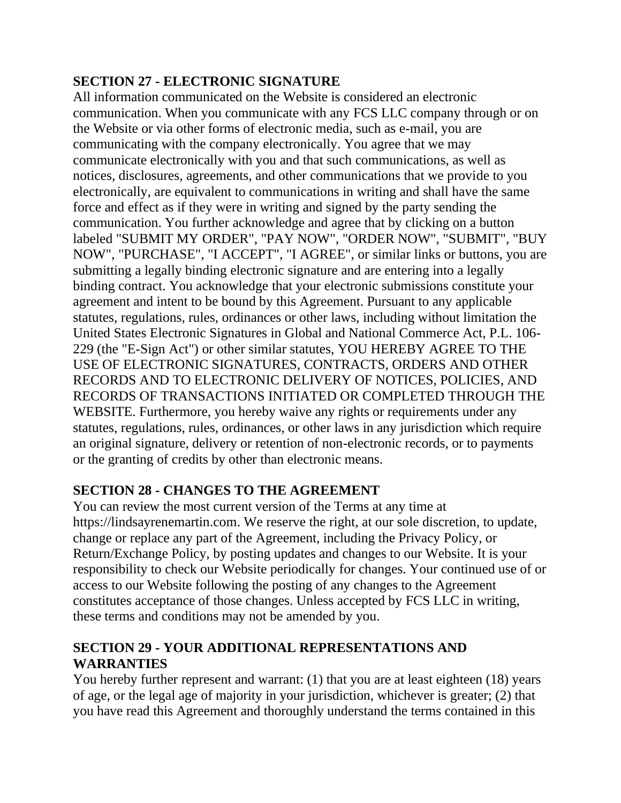# **SECTION 27 - ELECTRONIC SIGNATURE**

All information communicated on the Website is considered an electronic communication. When you communicate with any FCS LLC company through or on the Website or via other forms of electronic media, such as e-mail, you are communicating with the company electronically. You agree that we may communicate electronically with you and that such communications, as well as notices, disclosures, agreements, and other communications that we provide to you electronically, are equivalent to communications in writing and shall have the same force and effect as if they were in writing and signed by the party sending the communication. You further acknowledge and agree that by clicking on a button labeled "SUBMIT MY ORDER", "PAY NOW", "ORDER NOW", "SUBMIT", "BUY NOW", "PURCHASE", "I ACCEPT", "I AGREE", or similar links or buttons, you are submitting a legally binding electronic signature and are entering into a legally binding contract. You acknowledge that your electronic submissions constitute your agreement and intent to be bound by this Agreement. Pursuant to any applicable statutes, regulations, rules, ordinances or other laws, including without limitation the United States Electronic Signatures in Global and National Commerce Act, P.L. 106- 229 (the "E-Sign Act") or other similar statutes, YOU HEREBY AGREE TO THE USE OF ELECTRONIC SIGNATURES, CONTRACTS, ORDERS AND OTHER RECORDS AND TO ELECTRONIC DELIVERY OF NOTICES, POLICIES, AND RECORDS OF TRANSACTIONS INITIATED OR COMPLETED THROUGH THE WEBSITE. Furthermore, you hereby waive any rights or requirements under any statutes, regulations, rules, ordinances, or other laws in any jurisdiction which require an original signature, delivery or retention of non-electronic records, or to payments or the granting of credits by other than electronic means.

# **SECTION 28 - CHANGES TO THE AGREEMENT**

You can review the most current version of the Terms at any time at https://lindsayrenemartin.com. We reserve the right, at our sole discretion, to update, change or replace any part of the Agreement, including the Privacy Policy, or Return/Exchange Policy, by posting updates and changes to our Website. It is your responsibility to check our Website periodically for changes. Your continued use of or access to our Website following the posting of any changes to the Agreement constitutes acceptance of those changes. Unless accepted by FCS LLC in writing, these terms and conditions may not be amended by you.

### **SECTION 29 - YOUR ADDITIONAL REPRESENTATIONS AND WARRANTIES**

You hereby further represent and warrant: (1) that you are at least eighteen (18) years of age, or the legal age of majority in your jurisdiction, whichever is greater; (2) that you have read this Agreement and thoroughly understand the terms contained in this